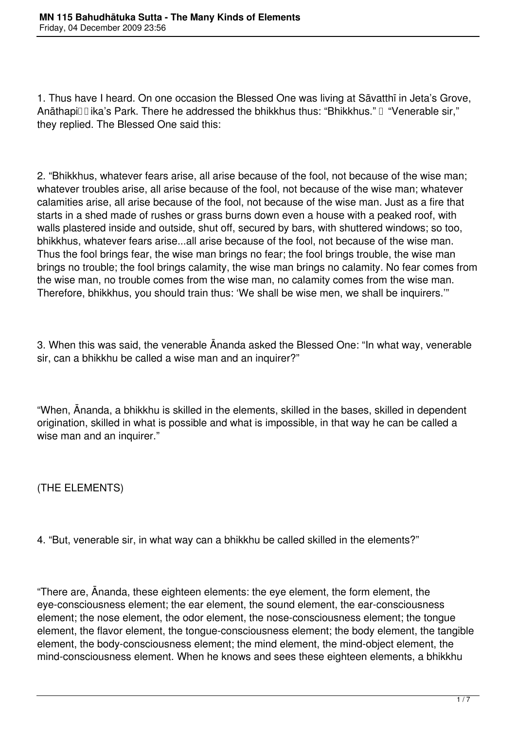1. Thus have I heard. On one occasion the Blessed One was living at Sāvatthī in Jeta's Grove, Anāthapiūūika's Park. There he addressed the bhikkhus thus: "Bhikkhus." [ "Venerable sir," they replied. The Blessed One said this:

2. "Bhikkhus, whatever fears arise, all arise because of the fool, not because of the wise man; whatever troubles arise, all arise because of the fool, not because of the wise man; whatever calamities arise, all arise because of the fool, not because of the wise man. Just as a fire that starts in a shed made of rushes or grass burns down even a house with a peaked roof, with walls plastered inside and outside, shut off, secured by bars, with shuttered windows; so too, bhikkhus, whatever fears arise...all arise because of the fool, not because of the wise man. Thus the fool brings fear, the wise man brings no fear; the fool brings trouble, the wise man brings no trouble; the fool brings calamity, the wise man brings no calamity. No fear comes from the wise man, no trouble comes from the wise man, no calamity comes from the wise man. Therefore, bhikkhus, you should train thus: 'We shall be wise men, we shall be inquirers.'"

3. When this was said, the venerable Ānanda asked the Blessed One: "In what way, venerable sir, can a bhikkhu be called a wise man and an inquirer?"

"When, Ānanda, a bhikkhu is skilled in the elements, skilled in the bases, skilled in dependent origination, skilled in what is possible and what is impossible, in that way he can be called a wise man and an inquirer."

(THE ELEMENTS)

4. "But, venerable sir, in what way can a bhikkhu be called skilled in the elements?"

"There are, Ānanda, these eighteen elements: the eye element, the form element, the eye-consciousness element; the ear element, the sound element, the ear-consciousness element; the nose element, the odor element, the nose-consciousness element; the tongue element, the flavor element, the tongue-consciousness element; the body element, the tangible element, the body-consciousness element; the mind element, the mind-object element, the mind-consciousness element. When he knows and sees these eighteen elements, a bhikkhu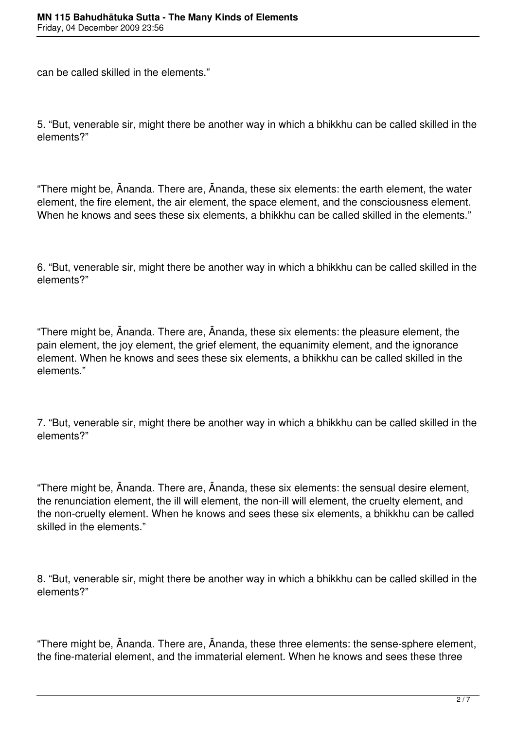can be called skilled in the elements."

5. "But, venerable sir, might there be another way in which a bhikkhu can be called skilled in the elements?"

"There might be, Ānanda. There are, Ānanda, these six elements: the earth element, the water element, the fire element, the air element, the space element, and the consciousness element. When he knows and sees these six elements, a bhikkhu can be called skilled in the elements."

6. "But, venerable sir, might there be another way in which a bhikkhu can be called skilled in the elements?"

"There might be, Ānanda. There are, Ānanda, these six elements: the pleasure element, the pain element, the joy element, the grief element, the equanimity element, and the ignorance element. When he knows and sees these six elements, a bhikkhu can be called skilled in the elements."

7. "But, venerable sir, might there be another way in which a bhikkhu can be called skilled in the elements?"

"There might be, Ānanda. There are, Ānanda, these six elements: the sensual desire element, the renunciation element, the ill will element, the non-ill will element, the cruelty element, and the non-cruelty element. When he knows and sees these six elements, a bhikkhu can be called skilled in the elements."

8. "But, venerable sir, might there be another way in which a bhikkhu can be called skilled in the elements?"

"There might be, Ānanda. There are, Ānanda, these three elements: the sense-sphere element, the fine-material element, and the immaterial element. When he knows and sees these three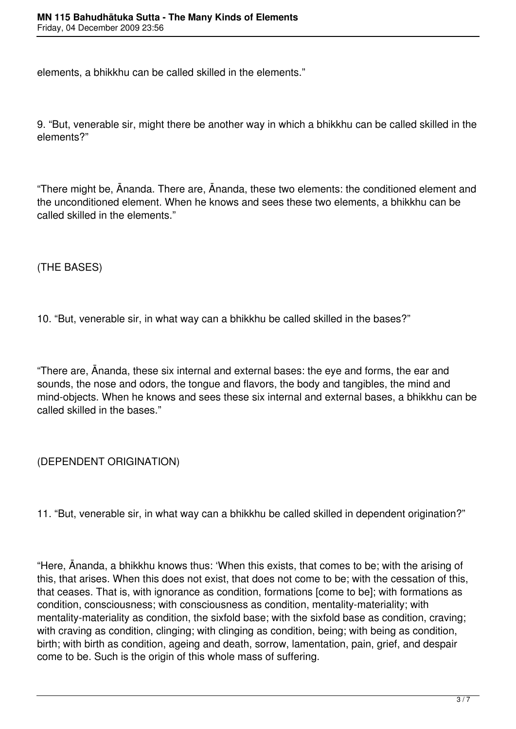elements, a bhikkhu can be called skilled in the elements."

9. "But, venerable sir, might there be another way in which a bhikkhu can be called skilled in the elements?"

"There might be, Ānanda. There are, Ānanda, these two elements: the conditioned element and the unconditioned element. When he knows and sees these two elements, a bhikkhu can be called skilled in the elements."

(THE BASES)

10. "But, venerable sir, in what way can a bhikkhu be called skilled in the bases?"

"There are, Ānanda, these six internal and external bases: the eye and forms, the ear and sounds, the nose and odors, the tongue and flavors, the body and tangibles, the mind and mind-objects. When he knows and sees these six internal and external bases, a bhikkhu can be called skilled in the bases."

(DEPENDENT ORIGINATION)

11. "But, venerable sir, in what way can a bhikkhu be called skilled in dependent origination?"

"Here, Ānanda, a bhikkhu knows thus: 'When this exists, that comes to be; with the arising of this, that arises. When this does not exist, that does not come to be; with the cessation of this, that ceases. That is, with ignorance as condition, formations [come to be]; with formations as condition, consciousness; with consciousness as condition, mentality-materiality; with mentality-materiality as condition, the sixfold base; with the sixfold base as condition, craving; with craving as condition, clinging; with clinging as condition, being; with being as condition, birth; with birth as condition, ageing and death, sorrow, lamentation, pain, grief, and despair come to be. Such is the origin of this whole mass of suffering.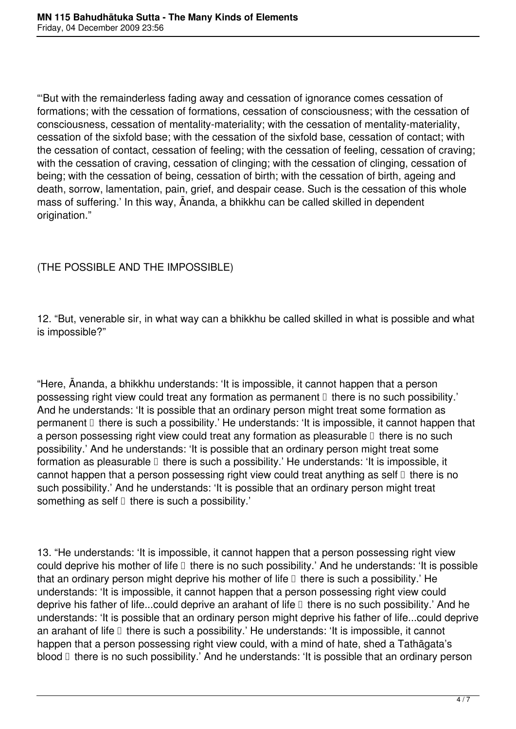"'But with the remainderless fading away and cessation of ignorance comes cessation of formations; with the cessation of formations, cessation of consciousness; with the cessation of consciousness, cessation of mentality-materiality; with the cessation of mentality-materiality, cessation of the sixfold base; with the cessation of the sixfold base, cessation of contact; with the cessation of contact, cessation of feeling; with the cessation of feeling, cessation of craving; with the cessation of craving, cessation of clinging; with the cessation of clinging, cessation of being; with the cessation of being, cessation of birth; with the cessation of birth, ageing and death, sorrow, lamentation, pain, grief, and despair cease. Such is the cessation of this whole mass of suffering.' In this way, Ānanda, a bhikkhu can be called skilled in dependent origination."

## (THE POSSIBLE AND THE IMPOSSIBLE)

12. "But, venerable sir, in what way can a bhikkhu be called skilled in what is possible and what is impossible?"

"Here, Ānanda, a bhikkhu understands: 'It is impossible, it cannot happen that a person possessing right view could treat any formation as permanent  $\mathbb D$  there is no such possibility.' And he understands: 'It is possible that an ordinary person might treat some formation as permanent  $\Box$  there is such a possibility.' He understands: 'It is impossible, it cannot happen that a person possessing right view could treat any formation as pleasurable  $\square$  there is no such possibility.' And he understands: 'It is possible that an ordinary person might treat some formation as pleasurable  $\Box$  there is such a possibility.' He understands: 'It is impossible, it cannot happen that a person possessing right view could treat anything as self  $\Box$  there is no such possibility.' And he understands: 'It is possible that an ordinary person might treat something as self  $\Box$  there is such a possibility.'

13. "He understands: 'It is impossible, it cannot happen that a person possessing right view could deprive his mother of life  $\Box$  there is no such possibility.' And he understands: 'It is possible that an ordinary person might deprive his mother of life  $\Box$  there is such a possibility.' He understands: 'It is impossible, it cannot happen that a person possessing right view could deprive his father of life...could deprive an arahant of life  $\Box$  there is no such possibility.' And he understands: 'It is possible that an ordinary person might deprive his father of life...could deprive an arahant of life  $\Box$  there is such a possibility.' He understands: 'It is impossible, it cannot happen that a person possessing right view could, with a mind of hate, shed a Tathāgata's blood  $\Box$  there is no such possibility.' And he understands: 'It is possible that an ordinary person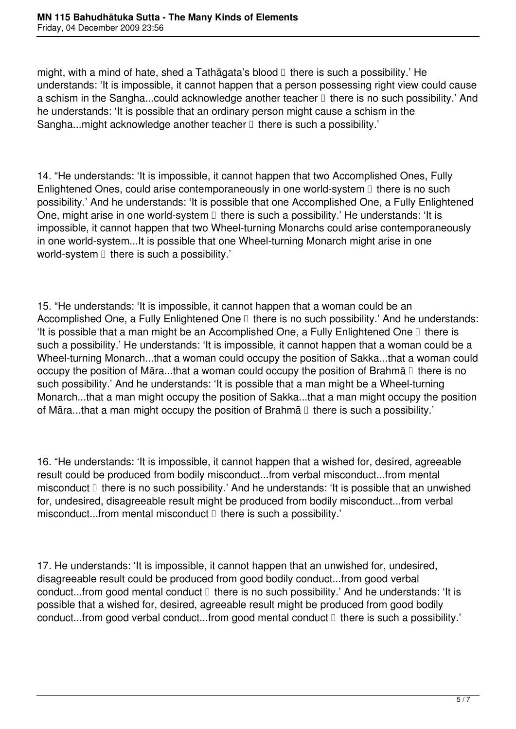might, with a mind of hate, shed a Tathāgata's blood  $\Box$  there is such a possibility.' He understands: 'It is impossible, it cannot happen that a person possessing right view could cause a schism in the Sangha...could acknowledge another teacher  $\Box$  there is no such possibility.' And he understands: 'It is possible that an ordinary person might cause a schism in the Sangha...might acknowledge another teacher  $\Box$  there is such a possibility.'

14. "He understands: 'It is impossible, it cannot happen that two Accomplished Ones, Fully Enlightened Ones, could arise contemporaneously in one world-system  $\Box$  there is no such possibility.' And he understands: 'It is possible that one Accomplished One, a Fully Enlightened One, might arise in one world-system  $\Box$  there is such a possibility.' He understands: 'It is impossible, it cannot happen that two Wheel-turning Monarchs could arise contemporaneously in one world-system...It is possible that one Wheel-turning Monarch might arise in one world-system  $\Box$  there is such a possibility.'

15. "He understands: 'It is impossible, it cannot happen that a woman could be an Accomplished One, a Fully Enlightened One  $\Box$  there is no such possibility.' And he understands: 'It is possible that a man might be an Accomplished One, a Fully Enlightened One  $\Box$  there is such a possibility.' He understands: 'It is impossible, it cannot happen that a woman could be a Wheel-turning Monarch...that a woman could occupy the position of Sakka...that a woman could occupy the position of Māra...that a woman could occupy the position of Brahma  $\Box$  there is no such possibility.' And he understands: 'It is possible that a man might be a Wheel-turning Monarch...that a man might occupy the position of Sakka...that a man might occupy the position of Māra...that a man might occupy the position of Brahmā  $\Box$  there is such a possibility.'

16. "He understands: 'It is impossible, it cannot happen that a wished for, desired, agreeable result could be produced from bodily misconduct...from verbal misconduct...from mental misconduct  $\Box$  there is no such possibility.' And he understands: 'It is possible that an unwished for, undesired, disagreeable result might be produced from bodily misconduct...from verbal misconduct...from mental misconduct  $\mathbb D$  there is such a possibility.'

17. He understands: 'It is impossible, it cannot happen that an unwished for, undesired, disagreeable result could be produced from good bodily conduct...from good verbal conduct...from good mental conduct  $\Box$  there is no such possibility.' And he understands: 'It is possible that a wished for, desired, agreeable result might be produced from good bodily conduct...from good verbal conduct...from good mental conduct  $\mathbb D$  there is such a possibility.'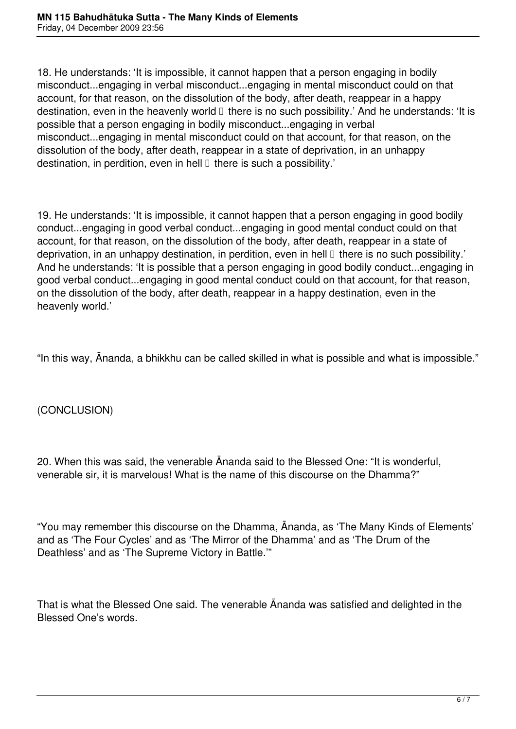18. He understands: 'It is impossible, it cannot happen that a person engaging in bodily misconduct...engaging in verbal misconduct...engaging in mental misconduct could on that account, for that reason, on the dissolution of the body, after death, reappear in a happy destination, even in the heavenly world  $\Box$  there is no such possibility.' And he understands: 'It is possible that a person engaging in bodily misconduct...engaging in verbal misconduct...engaging in mental misconduct could on that account, for that reason, on the dissolution of the body, after death, reappear in a state of deprivation, in an unhappy destination, in perdition, even in hell I there is such a possibility.'

19. He understands: 'It is impossible, it cannot happen that a person engaging in good bodily conduct...engaging in good verbal conduct...engaging in good mental conduct could on that account, for that reason, on the dissolution of the body, after death, reappear in a state of deprivation, in an unhappy destination, in perdition, even in hell  $\mathbb D$  there is no such possibility.' And he understands: 'It is possible that a person engaging in good bodily conduct...engaging in good verbal conduct...engaging in good mental conduct could on that account, for that reason, on the dissolution of the body, after death, reappear in a happy destination, even in the heavenly world.'

"In this way, Ānanda, a bhikkhu can be called skilled in what is possible and what is impossible."

(CONCLUSION)

20. When this was said, the venerable Ānanda said to the Blessed One: "It is wonderful, venerable sir, it is marvelous! What is the name of this discourse on the Dhamma?"

"You may remember this discourse on the Dhamma, Ānanda, as 'The Many Kinds of Elements' and as 'The Four Cycles' and as 'The Mirror of the Dhamma' and as 'The Drum of the Deathless' and as 'The Supreme Victory in Battle.'"

That is what the Blessed One said. The venerable Ānanda was satisfied and delighted in the Blessed One's words.